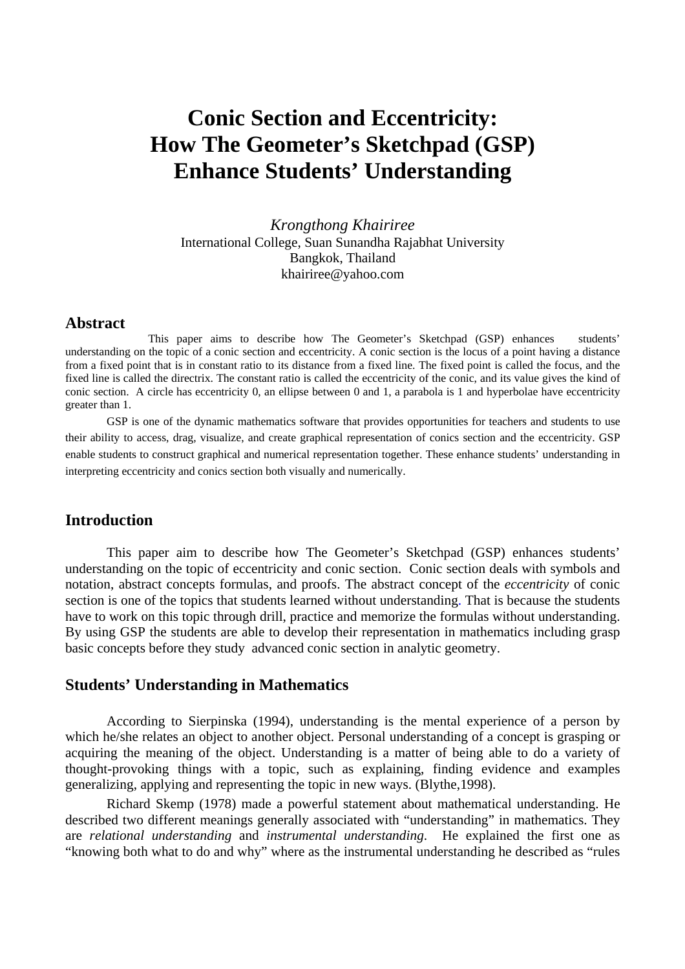# **Conic Section and Eccentricity: How The Geometer's Sketchpad (GSP) Enhance Students' Understanding**

*Krongthong Khairiree*  International College, Suan Sunandha Rajabhat University Bangkok, Thailand khairiree@yahoo.com

#### **Abstract**

This paper aims to describe how The Geometer's Sketchpad (GSP) enhances students' understanding on the topic of a conic section and eccentricity. A conic section is the locus of a point having a distance from a fixed point that is in constant ratio to its distance from a fixed line. The fixed point is called the focus, and the fixed line is called the directrix. The constant ratio is called the eccentricity of the conic, and its value gives the kind of conic section. A circle has eccentricity 0, an ellipse between 0 and 1, a parabola is 1 and hyperbolae have eccentricity greater than 1.

GSP is one of the dynamic mathematics software that provides opportunities for teachers and students to use their ability to access, drag, visualize, and create graphical representation of conics section and the eccentricity. GSP enable students to construct graphical and numerical representation together. These enhance students' understanding in interpreting eccentricity and conics section both visually and numerically.

### **Introduction**

 This paper aim to describe how The Geometer's Sketchpad (GSP) enhances students' understanding on the topic of eccentricity and conic section. Conic section deals with symbols and notation, abstract concepts formulas, and proofs. The abstract concept of the *eccentricity* of conic section is one of the topics that students learned without understanding. That is because the students have to work on this topic through drill, practice and memorize the formulas without understanding. By using GSP the students are able to develop their representation in mathematics including grasp basic concepts before they study advanced conic section in analytic geometry.

#### **Students' Understanding in Mathematics**

According to Sierpinska (1994), understanding is the mental experience of a person by which he/she relates an object to another object. Personal understanding of a concept is grasping or acquiring the meaning of the object. Understanding is a matter of being able to do a variety of thought-provoking things with a topic, such as explaining, finding evidence and examples generalizing, applying and representing the topic in new ways. (Blythe,1998).

Richard Skemp (1978) made a powerful statement about mathematical understanding. He described two different meanings generally associated with "understanding" in mathematics. They are *relational understanding* and *instrumental understanding*. He explained the first one as "knowing both what to do and why" where as the instrumental understanding he described as "rules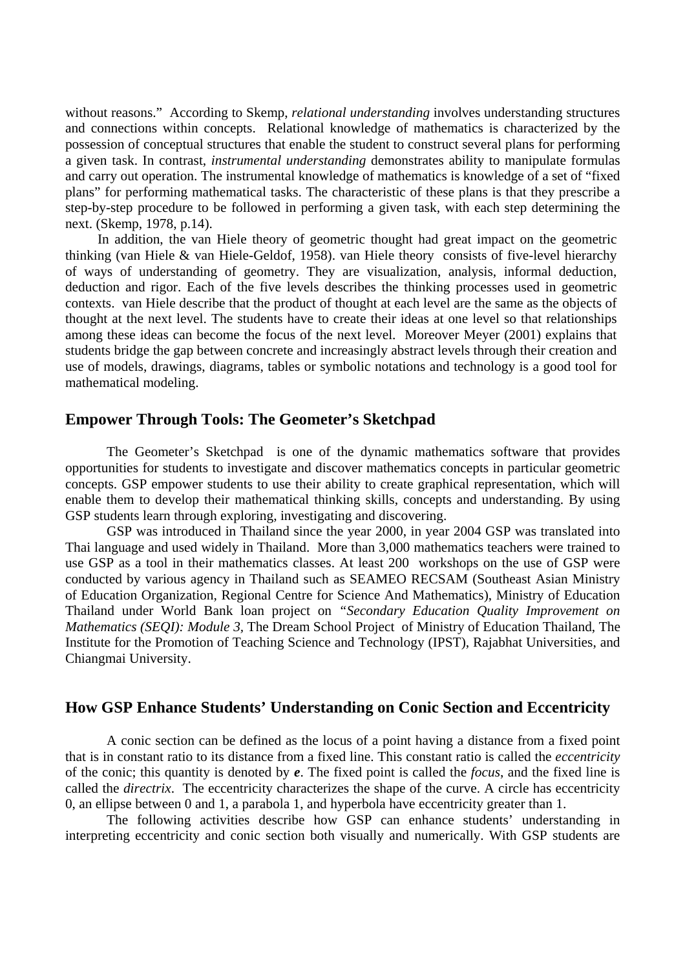without reasons." According to Skemp, *relational understanding* involves understanding structures and connections within concepts. Relational knowledge of mathematics is characterized by the possession of conceptual structures that enable the student to construct several plans for performing a given task. In contrast, *instrumental understanding* demonstrates ability to manipulate formulas and carry out operation. The instrumental knowledge of mathematics is knowledge of a set of "fixed plans" for performing mathematical tasks. The characteristic of these plans is that they prescribe a step-by-step procedure to be followed in performing a given task, with each step determining the next. (Skemp, 1978, p.14).

In addition, the van Hiele theory of geometric thought had great impact on the geometric thinking (van Hiele & van Hiele-Geldof, 1958). van Hiele theory consists of five-level hierarchy of ways of understanding of geometry. They are visualization, analysis, informal deduction, deduction and rigor. Each of the five levels describes the thinking processes used in geometric contexts. van Hiele describe that the product of thought at each level are the same as the objects of thought at the next level. The students have to create their ideas at one level so that relationships among these ideas can become the focus of the next level. Moreover Meyer (2001) explains that students bridge the gap between concrete and increasingly abstract levels through their creation and use of models, drawings, diagrams, tables or symbolic notations and technology is a good tool for mathematical modeling.

### **Empower Through Tools: The Geometer's Sketchpad**

The Geometer's Sketchpad is one of the dynamic mathematics software that provides opportunities for students to investigate and discover mathematics concepts in particular geometric concepts. GSP empower students to use their ability to create graphical representation, which will enable them to develop their mathematical thinking skills, concepts and understanding. By using GSP students learn through exploring, investigating and discovering.

GSP was introduced in Thailand since the year 2000, in year 2004 GSP was translated into Thai language and used widely in Thailand. More than 3,000 mathematics teachers were trained to use GSP as a tool in their mathematics classes. At least 200 workshops on the use of GSP were conducted by various agency in Thailand such as SEAMEO RECSAM (Southeast Asian Ministry of Education Organization, Regional Centre for Science And Mathematics), Ministry of Education Thailand under World Bank loan project on *"Secondary Education Quality Improvement on Mathematics (SEQI): Module 3,* The Dream School Project of Ministry of Education Thailand, The Institute for the Promotion of Teaching Science and Technology (IPST), Rajabhat Universities, and Chiangmai University.

### **How GSP Enhance Students' Understanding on Conic Section and Eccentricity**

A conic section can be defined as the locus of a point having a distance from a fixed point that is in constant ratio to its distance from a fixed line. This constant ratio is called the *eccentricity* of the conic; this quantity is denoted by *e*. The fixed point is called the *focus*, and the fixed line is called the *directrix*. The eccentricity characterizes the shape of the curve. A circle has eccentricity 0, an ellipse between 0 and 1, a parabola 1, and hyperbola have eccentricity greater than 1.

The following activities describe how GSP can enhance students' understanding in interpreting eccentricity and conic section both visually and numerically. With GSP students are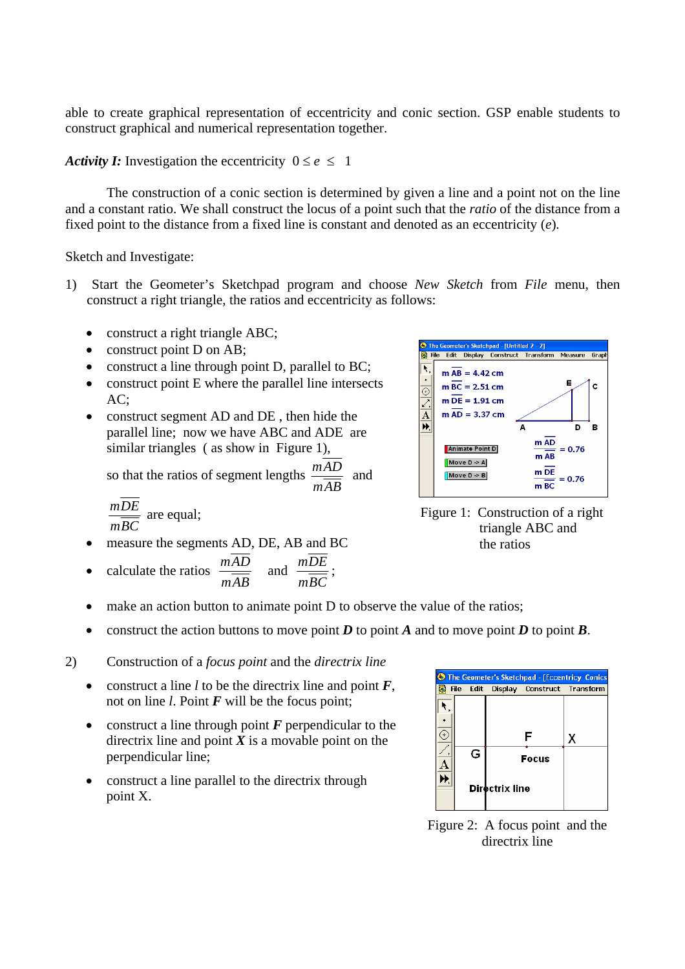able to create graphical representation of eccentricity and conic section. GSP enable students to construct graphical and numerical representation together.

*Activity I:* Investigation the eccentricity  $0 \le e \le 1$ 

The construction of a conic section is determined by given a line and a point not on the line and a constant ratio. We shall construct the locus of a point such that the *ratio* of the distance from a fixed point to the distance from a fixed line is constant and denoted as an eccentricity (*e*)*.*

Sketch and Investigate:

- 1) Start the Geometer's Sketchpad program and choose *New Sketch* from *File* menu, then construct a right triangle, the ratios and eccentricity as follows:
	- construct a right triangle ABC;
	- construct point D on AB;
	- construct a line through point D, parallel to BC;
	- construct point E where the parallel line intersects AC;
	- construct segment AD and DE, then hide the parallel line; now we have ABC and ADE are similar triangles ( as show in Figure 1),

so that the ratios of segment lengths *mAB*  $\frac{mAD}{\sim}$  and

$$
\frac{m\overline{DE}}{m\overline{BC}}
$$
 are equal;

• measure the segments AD, DE, AB and BC

• calculate the ratios *mAB*  $\frac{mAD}{\sim}$  and *mBC*  $\frac{mDE}{m}$ ;



Figure 1: Construction of a right triangle ABC and the ratios

- make an action button to animate point D to observe the value of the ratios;
- construct the action buttons to move point  $D$  to point  $A$  and to move point  $D$  to point  $B$ .
- 2) Construction of a *focus point* and the *directrix line*
	- construct a line  $l$  to be the directrix line and point  $F$ , not on line *l*. Point *F* will be the focus point;
	- construct a line through point *F* perpendicular to the directrix line and point  $X$  is a movable point on the perpendicular line;
	- construct a line parallel to the directrix through point X.



Figure 2: A focus point and the directrix line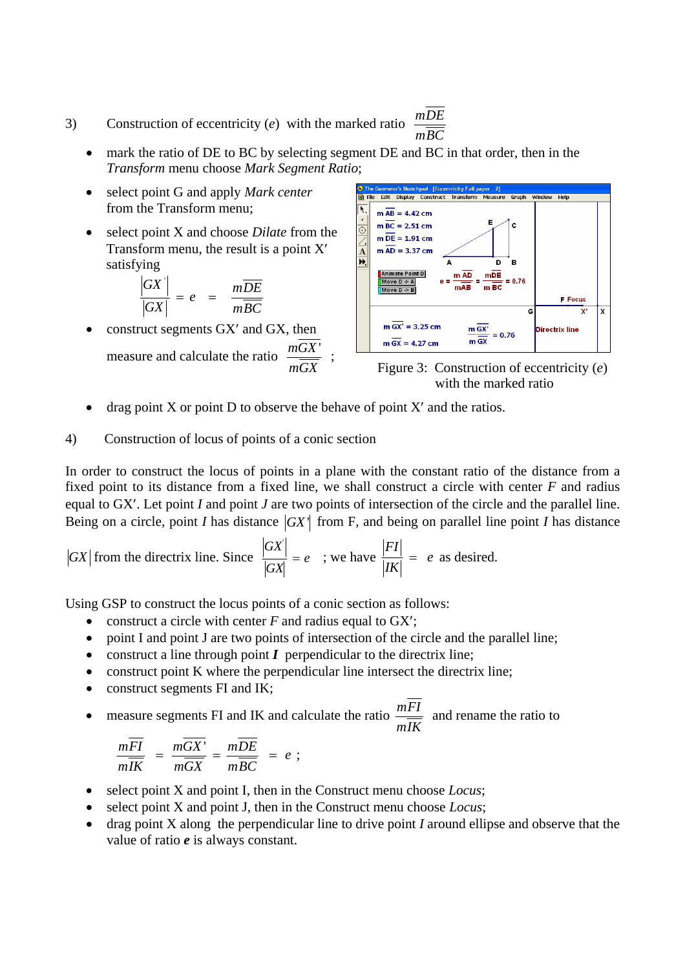- 3) Construction of eccentricity (*e*) with the marked ratio *mBC mDE*
	- mark the ratio of DE to BC by selecting segment DE and BC in that order, then in the *Transform* menu choose *Mark Segment Ratio*;
	- select point G and apply *Mark center* from the Transform menu;
	- select point X and choose *Dilate* from the Transform menu, the result is a point X′ satisfying

$$
\frac{|GX|}{|GX|} = e = \frac{m\overline{DE}}{m\overline{BC}}
$$

• construct segments GX' and GX, then measure and calculate the ratio *mGX*  $\frac{mGX'}{m}$  ;



Figure 3: Construction of eccentricity (*e*) with the marked ratio

drag point X or point D to observe the behave of point  $X'$  and the ratios.

### 4) Construction of locus of points of a conic section

In order to construct the locus of points in a plane with the constant ratio of the distance from a fixed point to its distance from a fixed line, we shall construct a circle with center *F* and radius equal to GX′. Let point *I* and point *J* are two points of intersection of the circle and the parallel line. Being on a circle, point *I* has distance  $|GX|$  from F, and being on parallel line point *I* has distance

$$
|GX|
$$
 from the directrix line. Since  $\frac{|GX|}{|GX|} = e$  ; we have  $\frac{|FI|}{|IK|} = e$  as desired.

Using GSP to construct the locus points of a conic section as follows:

- construct a circle with center *F* and radius equal to GX';
- point I and point J are two points of intersection of the circle and the parallel line;
- construct a line through point *I* perpendicular to the directrix line;
- construct point K where the perpendicular line intersect the directrix line;
- construct segments FI and IK;
- measure segments FI and IK and calculate the ratio *mIK mFI* and rename the ratio to

$$
\frac{mFI}{m\overline{IK}} = \frac{mGX'}{m\overline{GX}} = \frac{mDE}{m\overline{BC}} = e ;
$$

- select point X and point I, then in the Construct menu choose *Locus*;
- select point X and point J, then in the Construct menu choose *Locus*;
- drag point X along the perpendicular line to drive point *I* around ellipse and observe that the value of ratio *e* is always constant.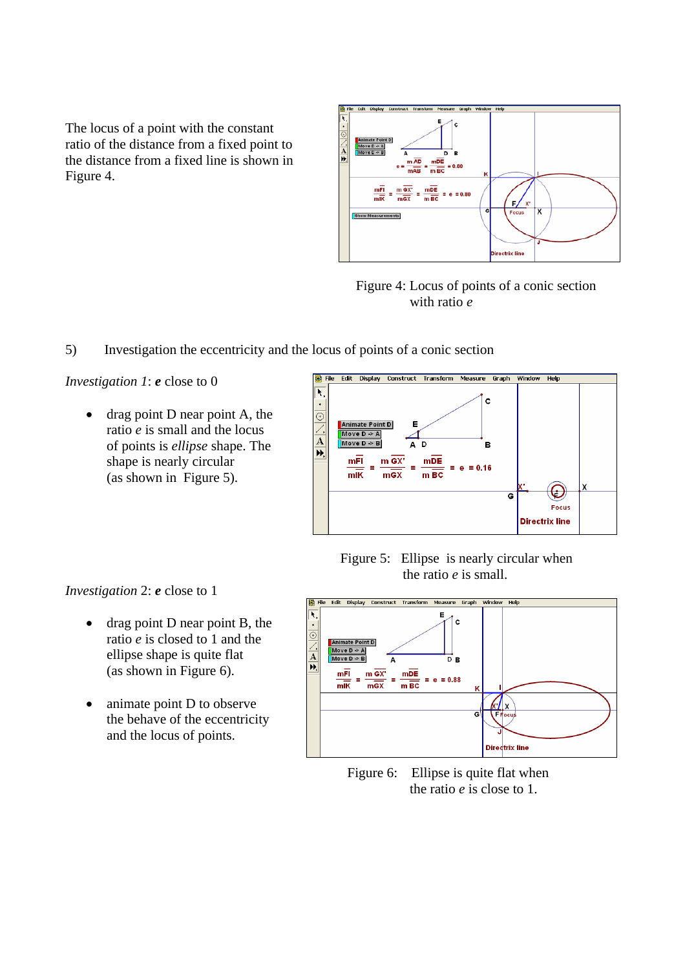The locus of a point with the constant ratio of the distance from a fixed point to the distance from a fixed line is shown in Figure 4.





5) Investigation the eccentricity and the locus of points of a conic section

*Investigation 1*: *e* close to 0

• drag point D near point A, the ratio *e* is small and the locus of points is *ellipse* shape. The shape is nearly circular (as shown in Figure 5).



 Figure 5: Ellipse is nearly circular when the ratio *e* is small.

*Investigation* 2: *e* close to 1

- drag point D near point B, the ratio *e* is closed to 1 and the ellipse shape is quite flat (as shown in Figure 6).
- animate point D to observe the behave of the eccentricity and the locus of points.



Figure 6: Ellipse is quite flat when the ratio *e* is close to 1.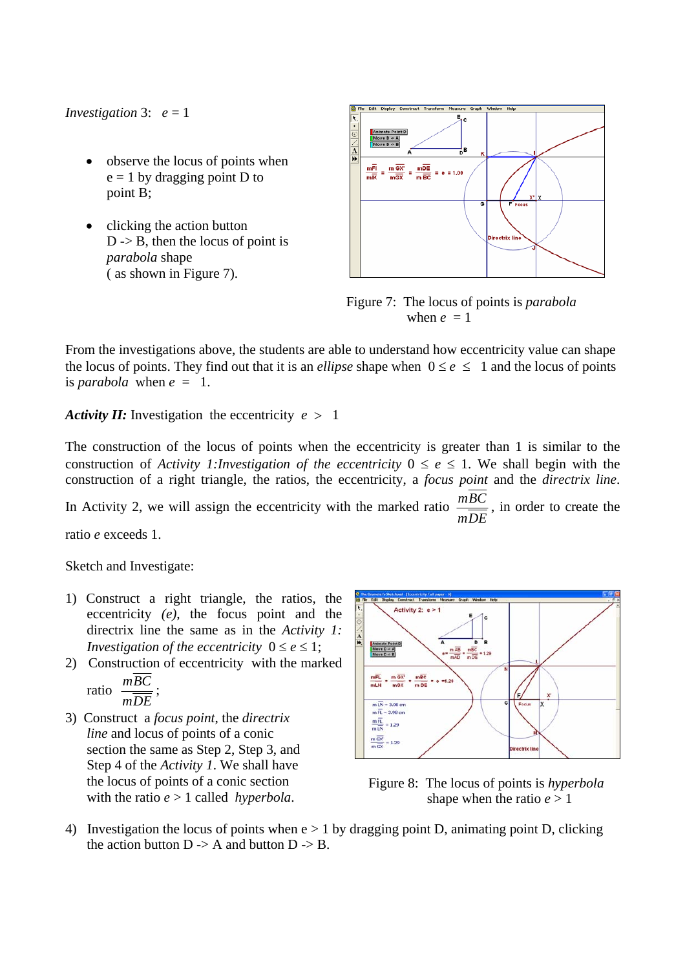*Investigation* 3:  $e = 1$ 

- observe the locus of points when  $e = 1$  by dragging point D to point B;
- clicking the action button  $D \rightarrow B$ , then the locus of point is *parabola* shape ( as shown in Figure 7).



 Figure 7: The locus of points is *parabola*  when  $e = 1$ 

From the investigations above, the students are able to understand how eccentricity value can shape the locus of points. They find out that it is an *ellipse* shape when  $0 \le e \le 1$  and the locus of points is *parabola* when  $e = 1$ .

*Activity II:* Investigation the eccentricity  $e > 1$ 

The construction of the locus of points when the eccentricity is greater than 1 is similar to the construction of *Activity 1:Investigation of the eccentricity*  $0 \le e \le 1$ . We shall begin with the construction of a right triangle, the ratios, the eccentricity, a *focus point* and the *directrix line*. In Activity 2, we will assign the eccentricity with the marked ratio *mDE*  $\frac{mgC}{\sqrt{mg}}$ , in order to create the

ratio *e* exceeds 1.

Sketch and Investigate:

- 1) Construct a right triangle, the ratios, the eccentricity *(e)*, the focus point and the directrix line the same as in the *Activity 1: Investigation of the eccentricity*  $0 \le e \le 1$ ;
- 2) Construction of eccentricity with the marked *mBC*

ratio 
$$
\frac{mDC}{mDE}
$$
;

3) Construct a *focus point*, the *directrix line* and locus of points of a conic section the same as Step 2, Step 3, and Step 4 of the *Activity 1*. We shall have the locus of points of a conic section with the ratio *e* > 1 called *hyperbola*.



 Figure 8: The locus of points is *hyperbola* shape when the ratio  $e > 1$ 

4) Investigation the locus of points when  $e > 1$  by dragging point D, animating point D, clicking the action button  $D \rightarrow A$  and button  $D \rightarrow B$ .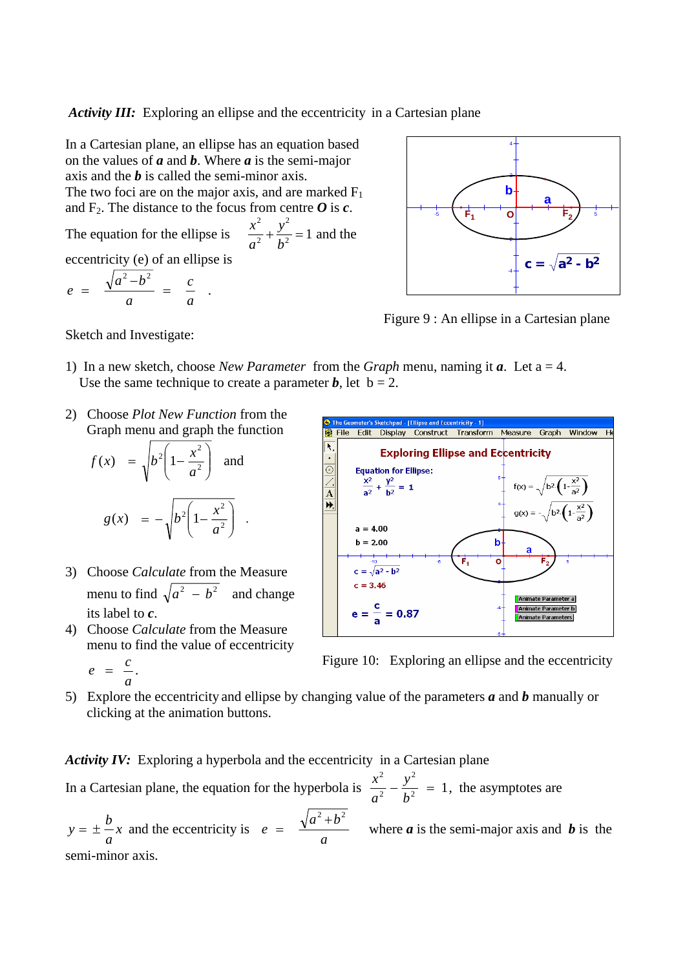*Activity III:* Exploring an ellipse and the eccentricity in a Cartesian plane

*y b* 2

 $+\frac{y}{h^2}$  = 1 and the

*a*

2 2

In a Cartesian plane, an ellipse has an equation based on the values of *a* and *b*. Where *a* is the semi-major axis and the *b* is called the semi-minor axis. The two foci are on the major axis, and are marked  $F_1$ and  $F_2$ . The distance to the focus from centre  $\boldsymbol{O}$  is  $\boldsymbol{c}$ .

The equation for the ellipse is *<sup>x</sup>* eccentricity (e) of an ellipse is

$$
e = \frac{\sqrt{a^2-b^2}}{a} = \frac{c}{a}.
$$



Figure 9 : An ellipse in a Cartesian plane

Sketch and Investigate:

- 1) In a new sketch, choose *New Parameter* from the *Graph* menu, naming it  $a$ . Let  $a = 4$ . Use the same technique to create a parameter **, let**  $**b** = 2$ **.**
- 2) Choose *Plot New Function* from the Graph menu and graph the function

$$
f(x) = \sqrt{b^2 \left(1 - \frac{x^2}{a^2}\right)} \text{ and}
$$

$$
g(x) = -\sqrt{b^2 \left(1 - \frac{x^2}{a^2}\right)}.
$$

- 3) Choose *Calculate* from the Measure menu to find  $\sqrt{a^2 - b^2}$  and change its label to *c*.
- 4) Choose *Calculate* from the Measure menu to find the value of eccentricity

$$
e = \frac{c}{a}.
$$



 $e = \frac{c}{c}$ .

5) Explore the eccentricity and ellipse by changing value of the parameters *a* and *b* manually or clicking at the animation buttons.

Activity IV: Exploring a hyperbola and the eccentricity in a Cartesian plane

In a Cartesian plane, the equation for the hyperbola is  $\frac{x}{a^2} - \frac{y}{b^2} = 1$ 2 2 2  $-\frac{y^2}{b^2}$  = *a*  $\frac{x^2}{2} - \frac{y^2}{x^2} = 1$ , the asymptotes are

*x a*  $y = \pm \frac{b}{x}$  and the eccentricity is *a*  $a^2 + b$  $e = \frac{\sqrt{a^2 + b^2}}{b}$  where *a* is the semi-major axis and *b* is the semi-minor axis.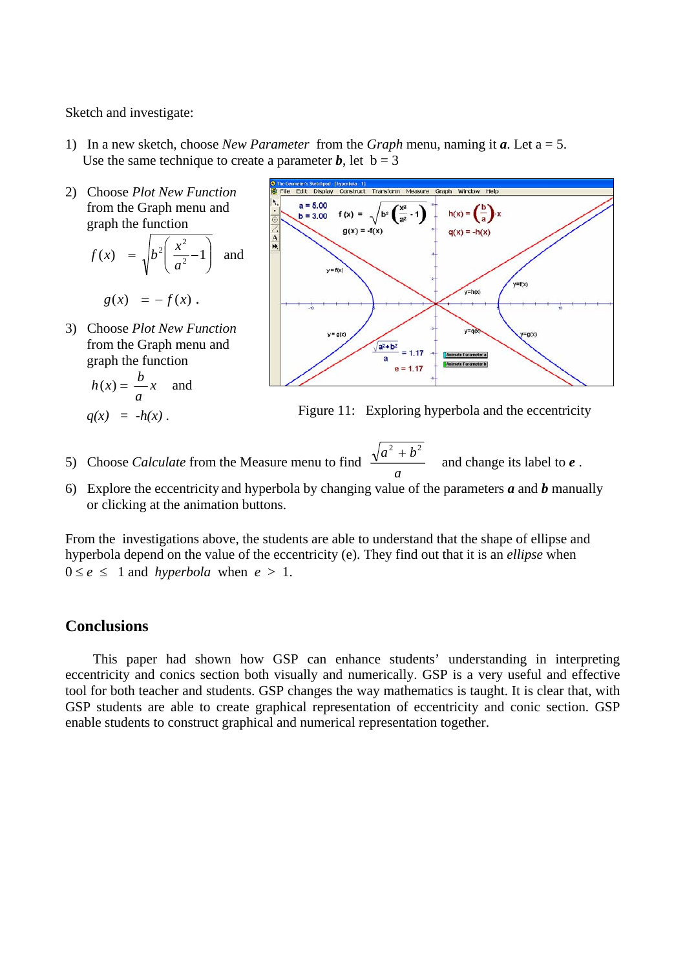Sketch and investigate:

- 1) In a new sketch, choose *New Parameter* from the *Graph* menu, naming it *a*. Let a = 5. Use the same technique to create a parameter *b*, let  $b = 3$
- 2) Choose *Plot New Function* from the Graph menu and graph the function  $\sqrt{ }$ ⎠ ⎞  $\overline{\phantom{a}}$ ⎝  $f(x) = \sqrt{b^2 \left( \frac{x^2}{a^2} - 1 \right)}$ *a*  $f(x) = \sqrt{b^2 \left( \frac{x^2}{2} - 1 \right)}$  and
	- $g(x) = -f(x)$ .
- 3) Choose *Plot New Function* from the Graph menu and graph the function

$$
h(x) = \frac{b}{a}x \quad \text{and}
$$



 $q(x) = -h(x)$ . Figure 11: Exploring hyperbola and the eccentricity

- 5) Choose *Calculate* from the Measure menu to find *a*  $a^2 + b^2$ and change its label to *e* .
- 6) Explore the eccentricity and hyperbola by changing value of the parameters *a* and *b* manually or clicking at the animation buttons.

From the investigations above, the students are able to understand that the shape of ellipse and hyperbola depend on the value of the eccentricity (e). They find out that it is an *ellipse* when  $0 \leq e \leq 1$  and *hyperbola* when  $e > 1$ .

## **Conclusions**

 This paper had shown how GSP can enhance students' understanding in interpreting eccentricity and conics section both visually and numerically. GSP is a very useful and effective tool for both teacher and students. GSP changes the way mathematics is taught. It is clear that, with GSP students are able to create graphical representation of eccentricity and conic section. GSP enable students to construct graphical and numerical representation together.